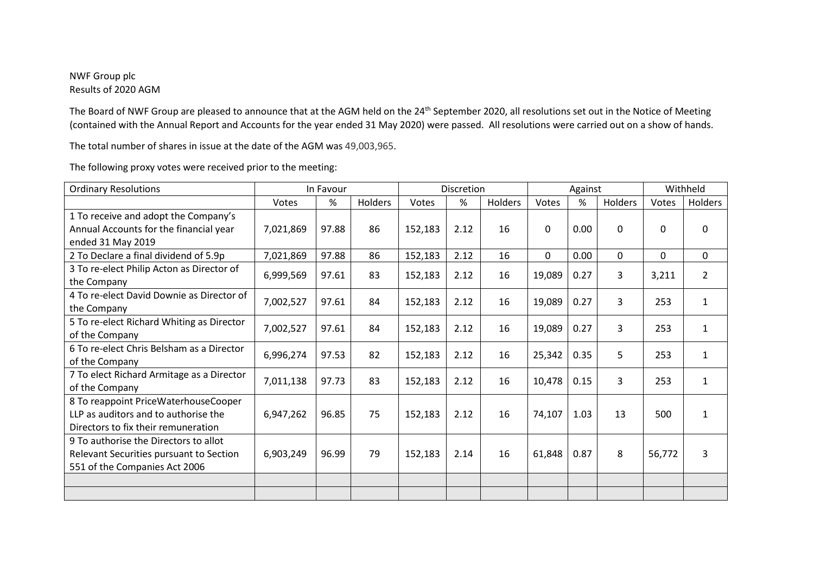## NWF Group plc Results of 2020 AGM

The Board of NWF Group are pleased to announce that at the AGM held on the 24<sup>th</sup> September 2020, all resolutions set out in the Notice of Meeting (contained with the Annual Report and Accounts for the year ended 31 May 2020) were passed. All resolutions were carried out on a show of hands.

The total number of shares in issue at the date of the AGM was 49,003,965.

| <b>Ordinary Resolutions</b>               | In Favour |       |         | Discretion |      |         | Against     |      |         | Withheld |                |
|-------------------------------------------|-----------|-------|---------|------------|------|---------|-------------|------|---------|----------|----------------|
|                                           | Votes     | $\%$  | Holders | Votes      | %    | Holders | Votes       | %    | Holders | Votes    | Holders        |
| 1 To receive and adopt the Company's      |           |       |         |            |      |         |             |      |         |          |                |
| Annual Accounts for the financial year    | 7,021,869 | 97.88 | 86      | 152,183    | 2.12 | 16      | $\mathbf 0$ | 0.00 | 0       | 0        | 0              |
| ended 31 May 2019                         |           |       |         |            |      |         |             |      |         |          |                |
| 2 To Declare a final dividend of 5.9p     | 7,021,869 | 97.88 | 86      | 152,183    | 2.12 | 16      | 0           | 0.00 | 0       | 0        | 0              |
| 3 To re-elect Philip Acton as Director of | 6,999,569 | 97.61 | 83      | 152,183    | 2.12 | 16      | 19,089      | 0.27 | 3       | 3,211    | $\overline{2}$ |
| the Company                               |           |       |         |            |      |         |             |      |         |          |                |
| 4 To re-elect David Downie as Director of | 7,002,527 | 97.61 | 84      | 152,183    | 2.12 | 16      | 19,089      | 0.27 | 3       | 253      | $\mathbf{1}$   |
| the Company                               |           |       |         |            |      |         |             |      |         |          |                |
| 5 To re-elect Richard Whiting as Director | 7,002,527 | 97.61 | 84      | 152,183    | 2.12 | 16      | 19,089      | 0.27 | 3       | 253      | $\mathbf{1}$   |
| of the Company                            |           |       |         |            |      |         |             |      |         |          |                |
| 6 To re-elect Chris Belsham as a Director | 6,996,274 | 97.53 | 82      | 152,183    | 2.12 | 16      | 25,342      | 0.35 | 5       | 253      | $\mathbf{1}$   |
| of the Company                            |           |       |         |            |      |         |             |      |         |          |                |
| 7 To elect Richard Armitage as a Director | 7,011,138 | 97.73 | 83      | 152,183    | 2.12 | 16      | 10,478      | 0.15 | 3       | 253      | 1              |
| of the Company                            |           |       |         |            |      |         |             |      |         |          |                |
| 8 To reappoint PriceWaterhouseCooper      |           |       |         |            |      |         |             |      |         |          |                |
| LLP as auditors and to authorise the      | 6,947,262 | 96.85 | 75      | 152,183    | 2.12 | 16      | 74,107      | 1.03 | 13      | 500      | 1              |
| Directors to fix their remuneration       |           |       |         |            |      |         |             |      |         |          |                |
| 9 To authorise the Directors to allot     |           |       |         |            |      |         |             |      |         |          |                |
| Relevant Securities pursuant to Section   | 6,903,249 | 96.99 | 79      | 152,183    | 2.14 | 16      | 61,848      | 0.87 | 8       | 56,772   | 3              |
| 551 of the Companies Act 2006             |           |       |         |            |      |         |             |      |         |          |                |
|                                           |           |       |         |            |      |         |             |      |         |          |                |
|                                           |           |       |         |            |      |         |             |      |         |          |                |

The following proxy votes were received prior to the meeting: